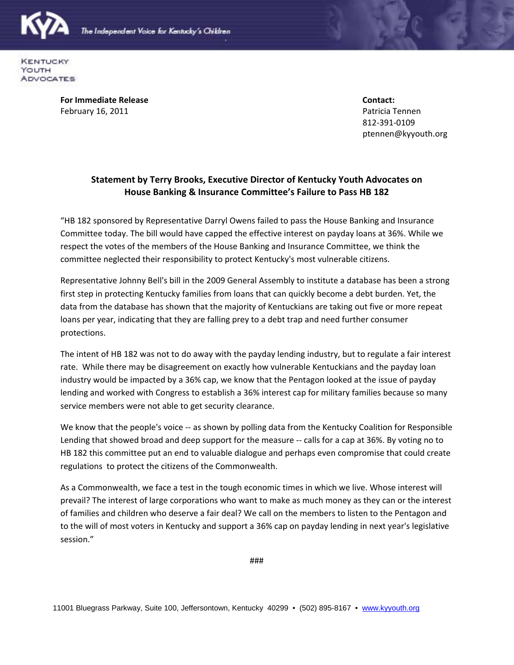

**KENTUCKY** YOUTH ADVOCATES

> **For Immediate Release Contact:** February 16, 2011 **Patricia Tennen** Patricia Tennen

812-391-0109 ptennen@kyyouth.org

## **Statement by Terry Brooks, Executive Director of Kentucky Youth Advocates on House Banking & Insurance Committee's Failure to Pass HB 182**

"HB 182 sponsored by Representative Darryl Owens failed to pass the House Banking and Insurance Committee today. The bill would have capped the effective interest on payday loans at 36%. While we respect the votes of the members of the House Banking and Insurance Committee, we think the committee neglected their responsibility to protect Kentucky's most vulnerable citizens.

Representative Johnny Bell's bill in the 2009 General Assembly to institute a database has been a strong first step in protecting Kentucky families from loans that can quickly become a debt burden. Yet, the data from the database has shown that the majority of Kentuckians are taking out five or more repeat loans per year, indicating that they are falling prey to a debt trap and need further consumer protections.

The intent of HB 182 was not to do away with the payday lending industry, but to regulate a fair interest rate. While there may be disagreement on exactly how vulnerable Kentuckians and the payday loan industry would be impacted by a 36% cap, we know that the Pentagon looked at the issue of payday lending and worked with Congress to establish a 36% interest cap for military families because so many service members were not able to get security clearance.

We know that the people's voice -- as shown by polling data from the Kentucky Coalition for Responsible Lending that showed broad and deep support for the measure -- calls for a cap at 36%. By voting no to HB 182 this committee put an end to valuable dialogue and perhaps even compromise that could create regulations to protect the citizens of the Commonwealth.

As a Commonwealth, we face a test in the tough economic times in which we live. Whose interest will prevail? The interest of large corporations who want to make as much money as they can or the interest of families and children who deserve a fair deal? We call on the members to listen to the Pentagon and to the will of most voters in Kentucky and support a 36% cap on payday lending in next year's legislative session."

###